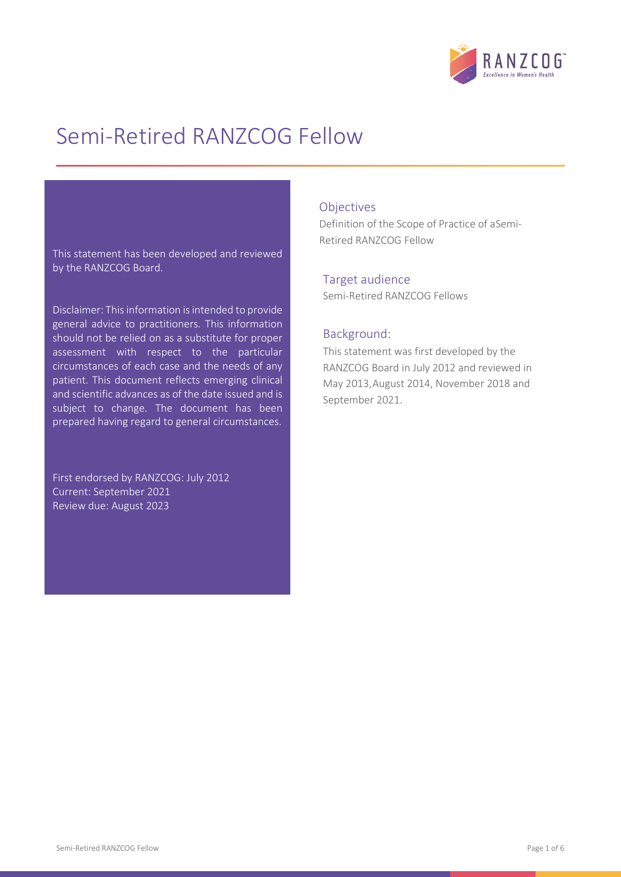

# Semi-Retired RANZCOG Fellow

This statement has been developed and reviewed by the RANZCOG Board.

Disclaimer: This information is intended to provide general advice to practitioners. This information should not be relied on as a substitute for proper assessment with respect to the particular circumstances of each case and the needs of any patient. This document reflects emerging clinical and scientific advances as of the date issued and is subject to change. The document has been prepared having regard to general circumstances.

First endorsed by RANZCOG: July 2012 Current: September 2021 Review due: August 2023

### **Objectives**

Definition of the Scope of Practice of aSemi-Retired RANZCOG Fellow

### Target audience

Semi-Retired RANZCOG Fellows

### Background:

This statement was first developed by the RANZCOG Board in July 2012 and reviewed in May 2013,August 2014, November 2018 and September 2021.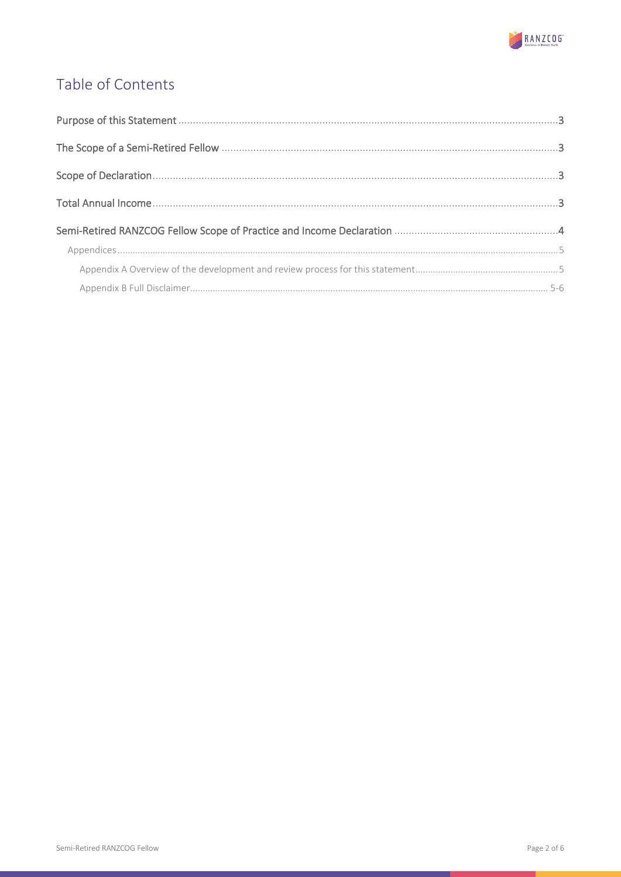

# Table of Contents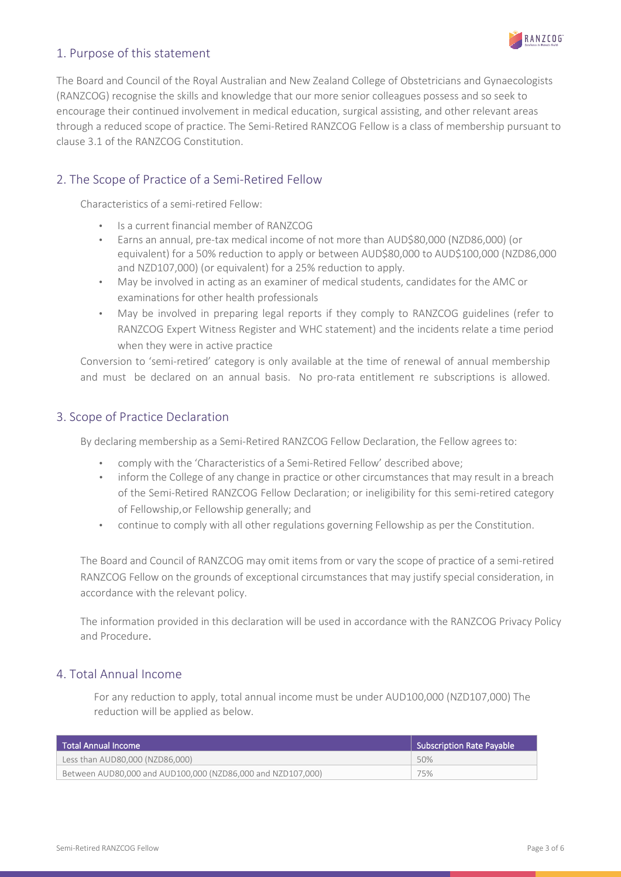

# 1. Purpose of this statement

The Board and Council of the Royal Australian and New Zealand College of Obstetricians and Gynaecologists (RANZCOG) recognise the skills and knowledge that our more senior colleagues possess and so seek to encourage their continued involvement in medical education, surgical assisting, and other relevant areas through a reduced scope of practice. The Semi-Retired RANZCOG Fellow is a class of membership pursuant to clause 3.1 of the RANZCOG Constitution.

### 2. The Scope of Practice of a Semi-Retired Fellow

Characteristics of a semi-retired Fellow:

- Is a current financial member of RANZCOG
- Earns an annual, pre-tax medical income of not more than AUD\$80,000 (NZD86,000) (or equivalent) for a 50% reduction to apply or between AUD\$80,000 to AUD\$100,000 (NZD86,000 and NZD107,000) (or equivalent) for a 25% reduction to apply.
- May be involved in acting as an examiner of medical students, candidates for the AMC or examinations for other health professionals
- May be involved in preparing legal reports if they comply to RANZCOG guidelines (refer to RANZCOG Expert Witness Register and WHC statement) and the incidents relate a time period when they were in active practice

Conversion to 'semi-retired' category is only available at the time of renewal of annual membership and must be declared on an annual basis. No pro-rata entitlement re subscriptions is allowed.

### 3. Scope of Practice Declaration

By declaring membership as a Semi-Retired RANZCOG Fellow Declaration, the Fellow agrees to:

- comply with the 'Characteristics of a Semi-Retired Fellow' described above;
- inform the College of any change in practice or other circumstances that may result in a breach of the Semi-Retired RANZCOG Fellow Declaration; or ineligibility for this semi-retired category of Fellowship,or Fellowship generally; and
- continue to comply with all other regulations governing Fellowship as per the Constitution.

The Board and Council of RANZCOG may omit items from or vary the scope of practice of a semi-retired RANZCOG Fellow on the grounds of exceptional circumstances that may justify special consideration, in accordance with the relevant policy.

The information provided in this declaration will be used in accordance with the RANZCOG Privacy Policy and Procedure.

### 4. Total Annual Income

For any reduction to apply, total annual income must be under AUD100,000 (NZD107,000) The reduction will be applied as below.

| l Total Annual Income                                       | <b>Subscription Rate Pavable</b> |
|-------------------------------------------------------------|----------------------------------|
| Less than AUD80,000 (NZD86,000)                             | 50%                              |
| Between AUD80,000 and AUD100,000 (NZD86,000 and NZD107,000) | 75%                              |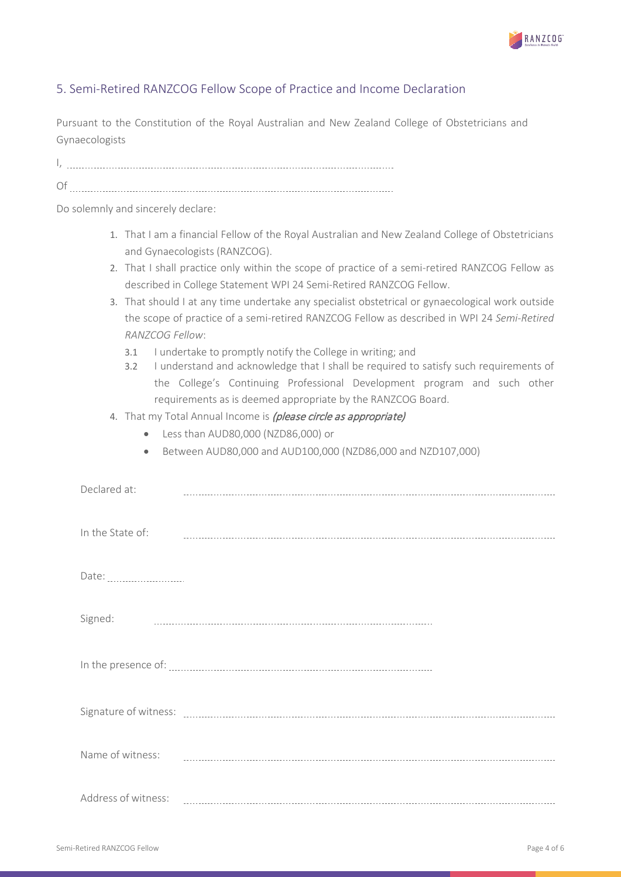

# 5. Semi-Retired RANZCOG Fellow Scope of Practice and Income Declaration

Pursuant to the Constitution of the Royal Australian and New Zealand College of Obstetricians and Gynaecologists

I,

Of

Do solemnly and sincerely declare:

- 1. That I am a financial Fellow of the Royal Australian and New Zealand College of Obstetricians and Gynaecologists (RANZCOG).
- 2. That I shall practice only within the scope of practice of a semi-retired RANZCOG Fellow as described in College Statement WPI 24 Semi-Retired RANZCOG Fellow.
- 3. That should I at any time undertake any specialist obstetrical or gynaecological work outside the scope of practice of a semi-retired RANZCOG Fellow as described in WPI 24 *Semi-Retired RANZCOG Fellow*:
	- 3.1 I undertake to promptly notify the College in writing; and
	- 3.2 I understand and acknowledge that I shall be required to satisfy such requirements of the College's Continuing Professional Development program and such other requirements as is deemed appropriate by the RANZCOG Board.
- 4. That my Total Annual Income is *(please circle as appropriate)* 
	- Less than AUD80,000 (NZD86,000) or
	- Between AUD80,000 and AUD100,000 (NZD86,000 and NZD107,000)

| Declared at:     |  |
|------------------|--|
| In the State of: |  |
|                  |  |
| Signed:          |  |
|                  |  |
|                  |  |
| Name of witness: |  |
|                  |  |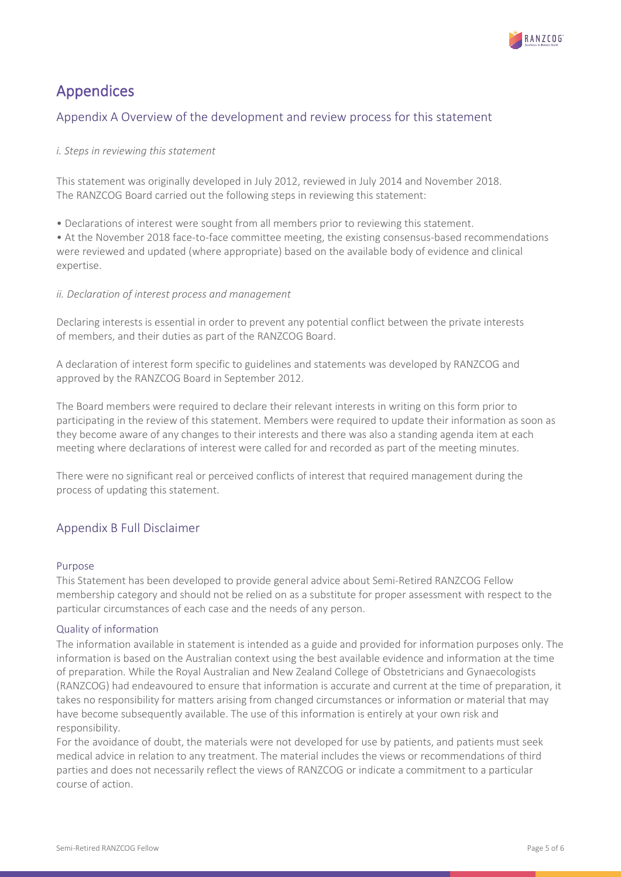

# Appendices

## Appendix A Overview of the development and review process for this statement

### *i. Steps in reviewing this statement*

This statement was originally developed in July 2012, reviewed in July 2014 and November 2018. The RANZCOG Board carried out the following steps in reviewing this statement:

• Declarations of interest were sought from all members prior to reviewing this statement.

• At the November 2018 face-to-face committee meeting, the existing consensus-based recommendations were reviewed and updated (where appropriate) based on the available body of evidence and clinical expertise.

### *ii. Declaration of interest process and management*

Declaring interests is essential in order to prevent any potential conflict between the private interests of members, and their duties as part of the RANZCOG Board.

A declaration of interest form specific to guidelines and statements was developed by RANZCOG and approved by the RANZCOG Board in September 2012.

The Board members were required to declare their relevant interests in writing on this form prior to participating in the review of this statement. Members were required to update their information as soon as they become aware of any changes to their interests and there was also a standing agenda item at each meeting where declarations of interest were called for and recorded as part of the meeting minutes.

There were no significant real or perceived conflicts of interest that required management during the process of updating this statement.

### Appendix B Full Disclaimer

### Purpose

This Statement has been developed to provide general advice about Semi-Retired RANZCOG Fellow membership category and should not be relied on as a substitute for proper assessment with respect to the particular circumstances of each case and the needs of any person.

### Quality of information

The information available in statement is intended as a guide and provided for information purposes only. The information is based on the Australian context using the best available evidence and information at the time of preparation. While the Royal Australian and New Zealand College of Obstetricians and Gynaecologists (RANZCOG) had endeavoured to ensure that information is accurate and current at the time of preparation, it takes no responsibility for matters arising from changed circumstances or information or material that may have become subsequently available. The use of this information is entirely at your own risk and responsibility.

For the avoidance of doubt, the materials were not developed for use by patients, and patients must seek medical advice in relation to any treatment. The material includes the views or recommendations of third parties and does not necessarily reflect the views of RANZCOG or indicate a commitment to a particular course of action.